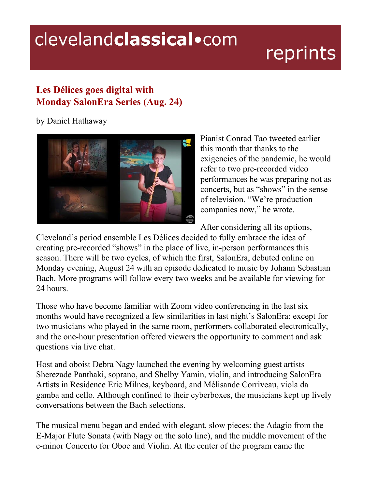## clevelandclassical.com

## reprints

## **Les Délices goes digital with Monday SalonEra Series (Aug. 24)**

by Daniel Hathaway



Pianist Conrad Tao tweeted earlier this month that thanks to the exigencies of the pandemic, he would refer to two pre-recorded video performances he was preparing not as concerts, but as "shows" in the sense of television. "We're production companies now," he wrote.

After considering all its options,

Cleveland's period ensemble Les Délices decided to fully embrace the idea of creating pre-recorded "shows" in the place of live, in-person performances this season. There will be two cycles, of which the first, SalonEra, debuted online on Monday evening, August 24 with an episode dedicated to music by Johann Sebastian Bach. More programs will follow every two weeks and be available for viewing for 24 hours.

Those who have become familiar with Zoom video conferencing in the last six months would have recognized a few similarities in last night's SalonEra: except for two musicians who played in the same room, performers collaborated electronically, and the one-hour presentation offered viewers the opportunity to comment and ask questions via live chat.

Host and oboist Debra Nagy launched the evening by welcoming guest artists Sherezade Panthaki, soprano, and Shelby Yamin, violin, and introducing SalonEra Artists in Residence Eric Milnes, keyboard, and Mélisande Corriveau, viola da gamba and cello. Although confined to their cyberboxes, the musicians kept up lively conversations between the Bach selections.

The musical menu began and ended with elegant, slow pieces: the Adagio from the E-Major Flute Sonata (with Nagy on the solo line), and the middle movement of the c-minor Concerto for Oboe and Violin. At the center of the program came the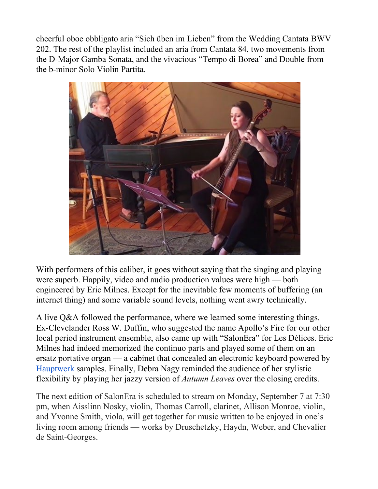cheerful oboe obbligato aria "Sich üben im Lieben" from the Wedding Cantata BWV 202. The rest of the playlist included an aria from Cantata 84, two movements from the D-Major Gamba Sonata, and the vivacious "Tempo di Borea" and Double from the b-minor Solo Violin Partita.



With performers of this caliber, it goes without saying that the singing and playing were superb. Happily, video and audio production values were high — both engineered by Eric Milnes. Except for the inevitable few moments of buffering (an internet thing) and some variable sound levels, nothing went awry technically.

A live Q&A followed the performance, where we learned some interesting things. Ex-Clevelander Ross W. Duffin, who suggested the name Apollo's Fire for our other local period instrument ensemble, also came up with "SalonEra" for Les Délices. Eric Milnes had indeed memorized the continuo parts and played some of them on an ersatz portative organ — a cabinet that concealed an electronic keyboard powered by [Hauptwerk](https://www.hauptwerk.com/) samples. Finally, Debra Nagy reminded the audience of her stylistic flexibility by playing her jazzy version of *Autumn Leaves* over the closing credits.

The next edition of SalonEra is scheduled to stream on Monday, September 7 at 7:30 pm, when Aisslinn Nosky, violin, Thomas Carroll, clarinet, Allison Monroe, violin, and Yvonne Smith, viola, will get together for music written to be enjoyed in one's living room among friends — works by Druschetzky, Haydn, Weber, and Chevalier de Saint-Georges.